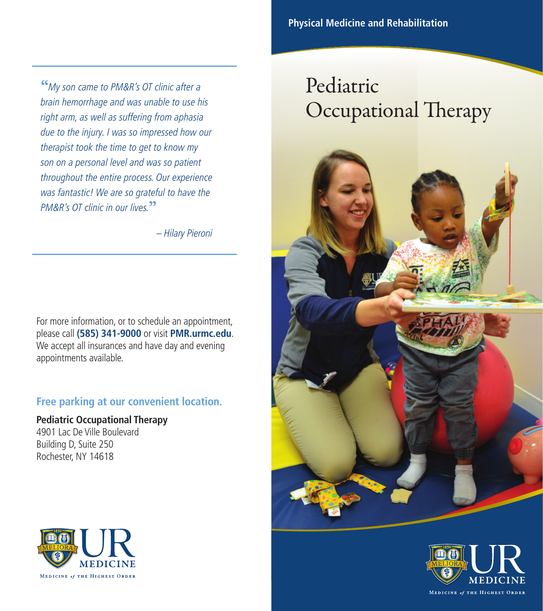Occupational Therapy

Pediatric

"My son came to PM&R's OT clinic after a brain hemorrhage and was unable to use his right arm, as well as suffering from aphasia due to the injury. I was so impressed how our therapist took the time to get to know my son on a personal level and was so patient throughout the entire process. Our experience was fantastic! We are so grateful to have the PM&R's OT clinic in our lives.<sup>33</sup>

– Hilary Pieroni

For more information, or to schedule an appointment, please call **(585) 341-9000** or visit **PMR.urmc.edu**. We accept all insurances and have day and evening appointments available.

## **Free parking at our convenient location.**

**Pediatric Occupational Therapy** 4901 Lac De Ville Boulevard Building D, Suite 250 Rochester, NY 14618